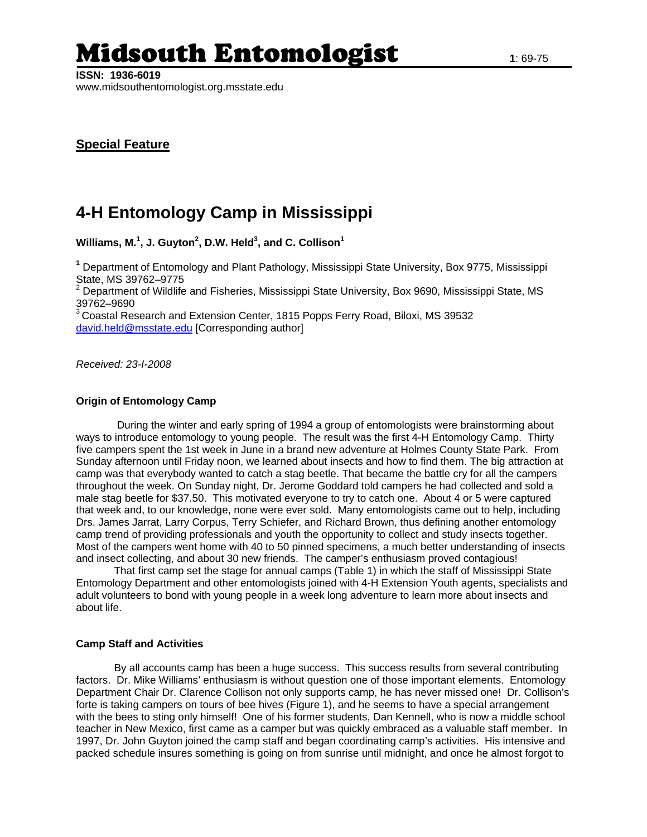# Midsouth Entomologist **1**: 69-75

# **4-H Entomology Camp in Mississippi**

**Williams, M.1 , J. Guyton2 , D.W. Held3 , and C. Collison<sup>1</sup>**

**1** Department of Entomology and Plant Pathology, Mississippi State University, Box 9775, Mississippi

State, MS 39762–9775<br><sup>2</sup> Department of Wildlife and Fisheries, Mississippi State University, Box 9690, Mississippi State, MS 39762–9690

 $3$  Coastal Research and Extension Center, 1815 Popps Ferry Road, Biloxi, MS 39532 [david.held@msstate.edu](mailto:david.held@msstate.edu) [Corresponding author]

*Received: 23-I-2008* 

## **Origin of Entomology Camp**

During the winter and early spring of 1994 a group of entomologists were brainstorming about ways to introduce entomology to young people. The result was the first 4-H Entomology Camp. Thirty five campers spent the 1st week in June in a brand new adventure at Holmes County State Park. From Sunday afternoon until Friday noon, we learned about insects and how to find them. The big attraction at camp was that everybody wanted to catch a stag beetle. That became the battle cry for all the campers throughout the week. On Sunday night, Dr. Jerome Goddard told campers he had collected and sold a male stag beetle for \$37.50. This motivated everyone to try to catch one. About 4 or 5 were captured that week and, to our knowledge, none were ever sold. Many entomologists came out to help, including Drs. James Jarrat, Larry Corpus, Terry Schiefer, and Richard Brown, thus defining another entomology camp trend of providing professionals and youth the opportunity to collect and study insects together. Most of the campers went home with 40 to 50 pinned specimens, a much better understanding of insects and insect collecting, and about 30 new friends. The camper's enthusiasm proved contagious!

 That first camp set the stage for annual camps (Table 1) in which the staff of Mississippi State Entomology Department and other entomologists joined with 4-H Extension Youth agents, specialists and adult volunteers to bond with young people in a week long adventure to learn more about insects and about life.

## **Camp Staff and Activities**

By all accounts camp has been a huge success. This success results from several contributing factors. Dr. Mike Williams' enthusiasm is without question one of those important elements. Entomology Department Chair Dr. Clarence Collison not only supports camp, he has never missed one! Dr. Collison's forte is taking campers on tours of bee hives (Figure 1), and he seems to have a special arrangement with the bees to sting only himself! One of his former students, Dan Kennell, who is now a middle school teacher in New Mexico, first came as a camper but was quickly embraced as a valuable staff member. In 1997, Dr. John Guyton joined the camp staff and began coordinating camp's activities. His intensive and packed schedule insures something is going on from sunrise until midnight, and once he almost forgot to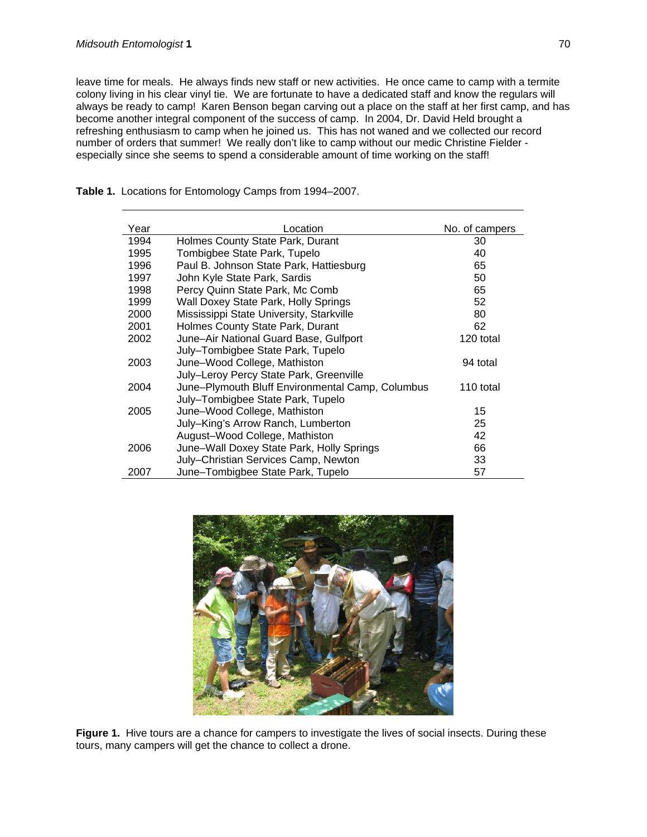leave time for meals. He always finds new staff or new activities. He once came to camp with a termite colony living in his clear vinyl tie. We are fortunate to have a dedicated staff and know the regulars will always be ready to camp! Karen Benson began carving out a place on the staff at her first camp, and has become another integral component of the success of camp. In 2004, Dr. David Held brought a refreshing enthusiasm to camp when he joined us. This has not waned and we collected our record number of orders that summer! We really don't like to camp without our medic Christine Fielder especially since she seems to spend a considerable amount of time working on the staff!

| Year | Location                                         | No. of campers |
|------|--------------------------------------------------|----------------|
| 1994 | Holmes County State Park, Durant                 | 30             |
| 1995 | Tombigbee State Park, Tupelo                     | 40             |
| 1996 | Paul B. Johnson State Park, Hattiesburg          | 65             |
| 1997 | John Kyle State Park, Sardis                     | 50             |
| 1998 | Percy Quinn State Park, Mc Comb                  | 65             |
| 1999 | Wall Doxey State Park, Holly Springs             | 52             |
| 2000 | Mississippi State University, Starkville         | 80             |
| 2001 | Holmes County State Park, Durant                 | 62             |
| 2002 | June-Air National Guard Base, Gulfport           | 120 total      |
|      | July-Tombigbee State Park, Tupelo                |                |
| 2003 | June-Wood College, Mathiston                     | 94 total       |
|      | July-Leroy Percy State Park, Greenville          |                |
| 2004 | June-Plymouth Bluff Environmental Camp, Columbus | 110 total      |
|      | July-Tombigbee State Park, Tupelo                |                |
| 2005 | June-Wood College, Mathiston                     | 15             |
|      | July-King's Arrow Ranch, Lumberton               | 25             |
|      | August-Wood College, Mathiston                   | 42             |
| 2006 | June-Wall Doxey State Park, Holly Springs        | 66             |
|      | July-Christian Services Camp, Newton             | 33             |
| 2007 | June-Tombigbee State Park, Tupelo                | 57             |

**Table 1.** Locations for Entomology Camps from 1994–2007.



**Figure 1.** Hive tours are a chance for campers to investigate the lives of social insects. During these tours, many campers will get the chance to collect a drone.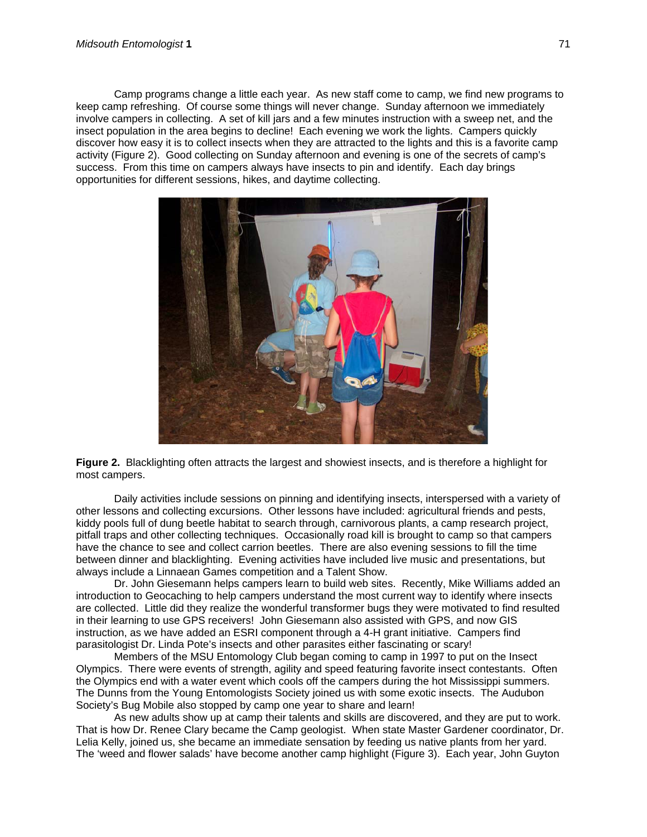Camp programs change a little each year. As new staff come to camp, we find new programs to keep camp refreshing. Of course some things will never change. Sunday afternoon we immediately involve campers in collecting. A set of kill jars and a few minutes instruction with a sweep net, and the insect population in the area begins to decline! Each evening we work the lights. Campers quickly discover how easy it is to collect insects when they are attracted to the lights and this is a favorite camp activity (Figure 2). Good collecting on Sunday afternoon and evening is one of the secrets of camp's success. From this time on campers always have insects to pin and identify. Each day brings opportunities for different sessions, hikes, and daytime collecting.



**Figure 2.** Blacklighting often attracts the largest and showiest insects, and is therefore a highlight for most campers.

Daily activities include sessions on pinning and identifying insects, interspersed with a variety of other lessons and collecting excursions. Other lessons have included: agricultural friends and pests, kiddy pools full of dung beetle habitat to search through, carnivorous plants, a camp research project, pitfall traps and other collecting techniques. Occasionally road kill is brought to camp so that campers have the chance to see and collect carrion beetles. There are also evening sessions to fill the time between dinner and blacklighting. Evening activities have included live music and presentations, but always include a Linnaean Games competition and a Talent Show.

Dr. John Giesemann helps campers learn to build web sites. Recently, Mike Williams added an introduction to Geocaching to help campers understand the most current way to identify where insects are collected. Little did they realize the wonderful transformer bugs they were motivated to find resulted in their learning to use GPS receivers! John Giesemann also assisted with GPS, and now GIS instruction, as we have added an ESRI component through a 4-H grant initiative. Campers find parasitologist Dr. Linda Pote's insects and other parasites either fascinating or scary!

Members of the MSU Entomology Club began coming to camp in 1997 to put on the Insect Olympics. There were events of strength, agility and speed featuring favorite insect contestants. Often the Olympics end with a water event which cools off the campers during the hot Mississippi summers. The Dunns from the Young Entomologists Society joined us with some exotic insects. The Audubon Society's Bug Mobile also stopped by camp one year to share and learn!

As new adults show up at camp their talents and skills are discovered, and they are put to work. That is how Dr. Renee Clary became the Camp geologist. When state Master Gardener coordinator, Dr. Lelia Kelly, joined us, she became an immediate sensation by feeding us native plants from her yard. The 'weed and flower salads' have become another camp highlight (Figure 3). Each year, John Guyton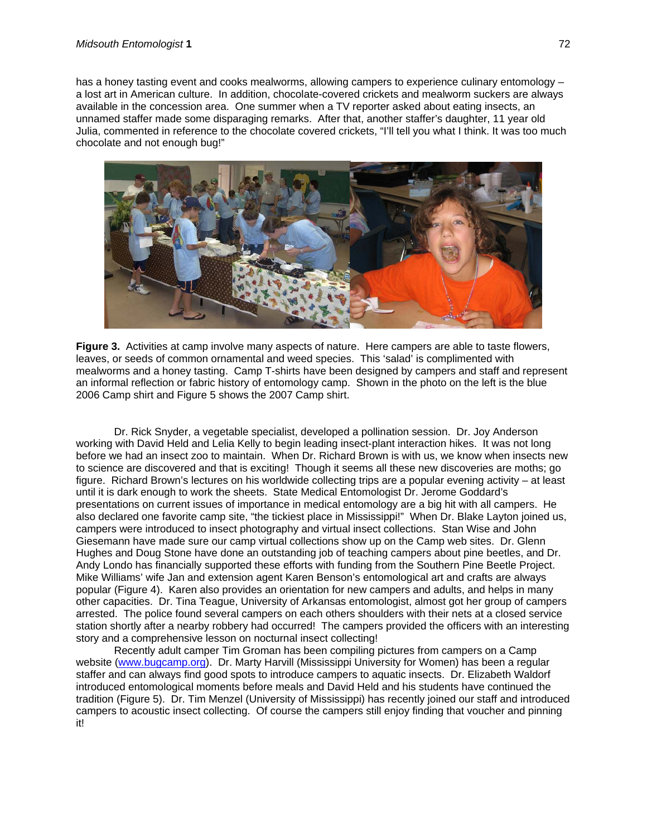has a honey tasting event and cooks mealworms, allowing campers to experience culinary entomology – a lost art in American culture. In addition, chocolate-covered crickets and mealworm suckers are always available in the concession area. One summer when a TV reporter asked about eating insects, an unnamed staffer made some disparaging remarks. After that, another staffer's daughter, 11 year old Julia, commented in reference to the chocolate covered crickets, "I'll tell you what I think. It was too much chocolate and not enough bug!"



**Figure 3.** Activities at camp involve many aspects of nature. Here campers are able to taste flowers, leaves, or seeds of common ornamental and weed species. This 'salad' is complimented with mealworms and a honey tasting. Camp T-shirts have been designed by campers and staff and represent an informal reflection or fabric history of entomology camp. Shown in the photo on the left is the blue 2006 Camp shirt and Figure 5 shows the 2007 Camp shirt.

Dr. Rick Snyder, a vegetable specialist, developed a pollination session. Dr. Joy Anderson working with David Held and Lelia Kelly to begin leading insect-plant interaction hikes. It was not long before we had an insect zoo to maintain. When Dr. Richard Brown is with us, we know when insects new to science are discovered and that is exciting! Though it seems all these new discoveries are moths; go figure. Richard Brown's lectures on his worldwide collecting trips are a popular evening activity – at least until it is dark enough to work the sheets. State Medical Entomologist Dr. Jerome Goddard's presentations on current issues of importance in medical entomology are a big hit with all campers. He also declared one favorite camp site, "the tickiest place in Mississippi!" When Dr. Blake Layton joined us, campers were introduced to insect photography and virtual insect collections. Stan Wise and John Giesemann have made sure our camp virtual collections show up on the Camp web sites. Dr. Glenn Hughes and Doug Stone have done an outstanding job of teaching campers about pine beetles, and Dr. Andy Londo has financially supported these efforts with funding from the Southern Pine Beetle Project. Mike Williams' wife Jan and extension agent Karen Benson's entomological art and crafts are always popular (Figure 4). Karen also provides an orientation for new campers and adults, and helps in many other capacities. Dr. Tina Teague, University of Arkansas entomologist, almost got her group of campers arrested. The police found several campers on each others shoulders with their nets at a closed service station shortly after a nearby robbery had occurred! The campers provided the officers with an interesting story and a comprehensive lesson on nocturnal insect collecting!

Recently adult camper Tim Groman has been compiling pictures from campers on a Camp website [\(www.bugcamp.org\)](http://www.bugcamp.org/). Dr. Marty Harvill (Mississippi University for Women) has been a regular staffer and can always find good spots to introduce campers to aquatic insects. Dr. Elizabeth Waldorf introduced entomological moments before meals and David Held and his students have continued the tradition (Figure 5). Dr. Tim Menzel (University of Mississippi) has recently joined our staff and introduced campers to acoustic insect collecting. Of course the campers still enjoy finding that voucher and pinning it!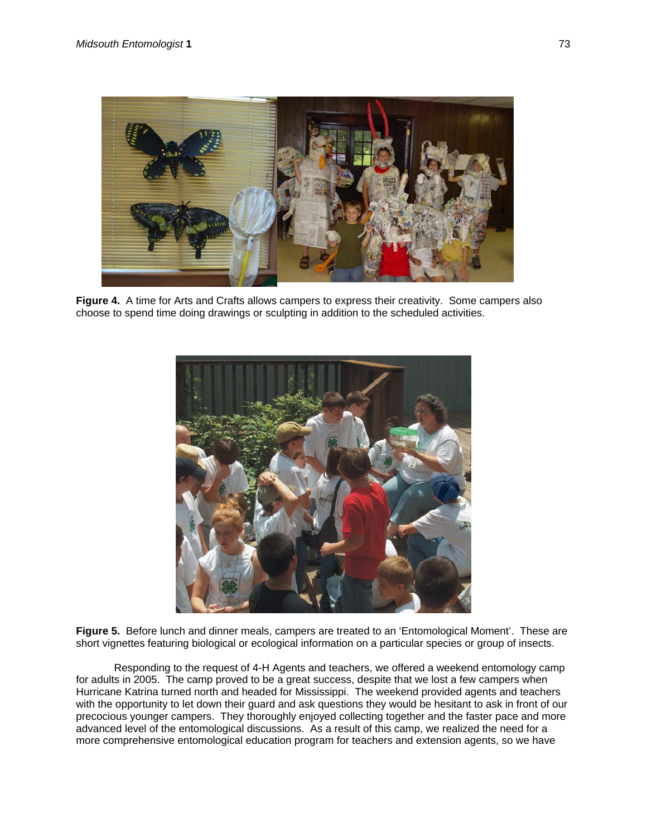

**Figure 4.** A time for Arts and Crafts allows campers to express their creativity. Some campers also choose to spend time doing drawings or sculpting in addition to the scheduled activities.



**Figure 5.** Before lunch and dinner meals, campers are treated to an 'Entomological Moment'. These are short vignettes featuring biological or ecological information on a particular species or group of insects.

Responding to the request of 4-H Agents and teachers, we offered a weekend entomology camp for adults in 2005. The camp proved to be a great success, despite that we lost a few campers when Hurricane Katrina turned north and headed for Mississippi. The weekend provided agents and teachers with the opportunity to let down their guard and ask questions they would be hesitant to ask in front of our precocious younger campers. They thoroughly enjoyed collecting together and the faster pace and more advanced level of the entomological discussions. As a result of this camp, we realized the need for a more comprehensive entomological education program for teachers and extension agents, so we have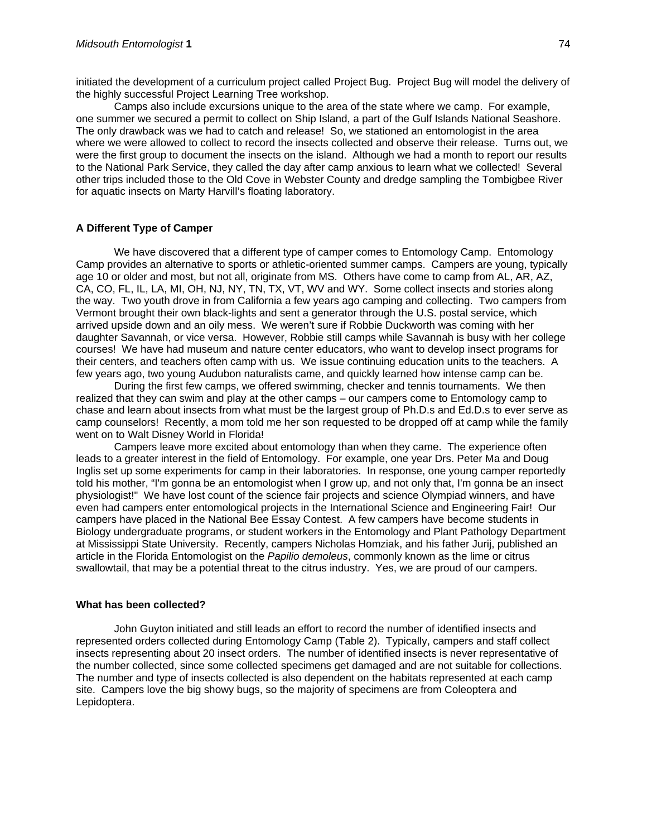initiated the development of a curriculum project called Project Bug. Project Bug will model the delivery of the highly successful Project Learning Tree workshop.

Camps also include excursions unique to the area of the state where we camp. For example, one summer we secured a permit to collect on Ship Island, a part of the Gulf Islands National Seashore. The only drawback was we had to catch and release! So, we stationed an entomologist in the area where we were allowed to collect to record the insects collected and observe their release. Turns out, we were the first group to document the insects on the island. Although we had a month to report our results to the National Park Service, they called the day after camp anxious to learn what we collected! Several other trips included those to the Old Cove in Webster County and dredge sampling the Tombigbee River for aquatic insects on Marty Harvill's floating laboratory.

#### **A Different Type of Camper**

We have discovered that a different type of camper comes to Entomology Camp. Entomology Camp provides an alternative to sports or athletic-oriented summer camps. Campers are young, typically age 10 or older and most, but not all, originate from MS. Others have come to camp from AL, AR, AZ, CA, CO, FL, IL, LA, MI, OH, NJ, NY, TN, TX, VT, WV and WY. Some collect insects and stories along the way. Two youth drove in from California a few years ago camping and collecting. Two campers from Vermont brought their own black-lights and sent a generator through the U.S. postal service, which arrived upside down and an oily mess. We weren't sure if Robbie Duckworth was coming with her daughter Savannah, or vice versa. However, Robbie still camps while Savannah is busy with her college courses! We have had museum and nature center educators, who want to develop insect programs for their centers, and teachers often camp with us. We issue continuing education units to the teachers. A few years ago, two young Audubon naturalists came, and quickly learned how intense camp can be.

During the first few camps, we offered swimming, checker and tennis tournaments. We then realized that they can swim and play at the other camps – our campers come to Entomology camp to chase and learn about insects from what must be the largest group of Ph.D.s and Ed.D.s to ever serve as camp counselors! Recently, a mom told me her son requested to be dropped off at camp while the family went on to Walt Disney World in Florida!

Campers leave more excited about entomology than when they came. The experience often leads to a greater interest in the field of Entomology. For example, one year Drs. Peter Ma and Doug Inglis set up some experiments for camp in their laboratories. In response, one young camper reportedly told his mother, "I'm gonna be an entomologist when I grow up, and not only that, I'm gonna be an insect physiologist!" We have lost count of the science fair projects and science Olympiad winners, and have even had campers enter entomological projects in the International Science and Engineering Fair! Our campers have placed in the National Bee Essay Contest. A few campers have become students in Biology undergraduate programs, or student workers in the Entomology and Plant Pathology Department at Mississippi State University. Recently, campers Nicholas Homziak, and his father Jurij, published an article in the Florida Entomologist on the *Papilio demoleus*, commonly known as the lime or citrus swallowtail, that may be a potential threat to the citrus industry. Yes, we are proud of our campers.

#### **What has been collected?**

John Guyton initiated and still leads an effort to record the number of identified insects and represented orders collected during Entomology Camp (Table 2). Typically, campers and staff collect insects representing about 20 insect orders. The number of identified insects is never representative of the number collected, since some collected specimens get damaged and are not suitable for collections. The number and type of insects collected is also dependent on the habitats represented at each camp site. Campers love the big showy bugs, so the majority of specimens are from Coleoptera and Lepidoptera.